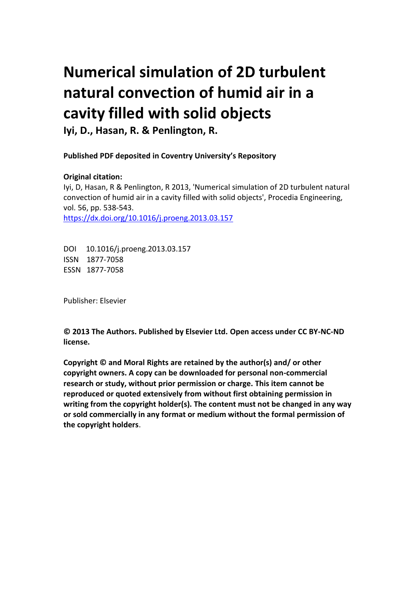# **Numerical simulation of 2D turbulent natural convection of humid air in a cavity filled with solid objects**

**Iyi, D., Hasan, R. & Penlington, R.**

**Published PDF deposited in Coventry University's Repository** 

## **Original citation:**

Iyi, D, Hasan, R & Penlington, R 2013, 'Numerical simulation of 2D turbulent natural convection of humid air in a cavity filled with solid objects', Procedia Engineering, vol. 56, pp. 538-543. https://dx.doi.org/10.1016/j.proeng.2013.03.157

DOI 10.1016/j.proeng.2013.03.157 ISSN 1877-7058 ESSN 1877-7058

Publisher: Elsevier

**© 2013 The Authors. Published by Elsevier Ltd. Open access under CC BY-NC-ND license.**

**Copyright © and Moral Rights are retained by the author(s) and/ or other copyright owners. A copy can be downloaded for personal non-commercial research or study, without prior permission or charge. This item cannot be reproduced or quoted extensively from without first obtaining permission in writing from the copyright holder(s). The content must not be changed in any way or sold commercially in any format or medium without the formal permission of the copyright holders**.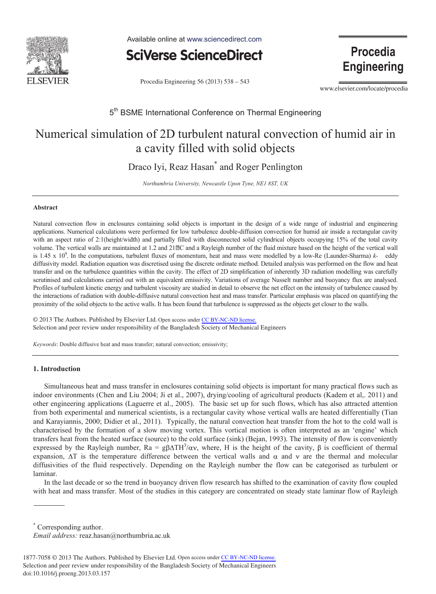

Available online at www.sciencedirect.com



Procedia Engineering 56 (2013) 538 - 543

Procedia **Engineering** 

www.elsevier.com/locate/procedia

### 5<sup>th</sup> BSME International Conference on Thermal Engineering

# Numerical simulation of 2D turbulent natural convection of humid air in a cavity filled with solid objects

Draco Iyi, Reaz Hasan<sup>\*</sup> and Roger Penlington

*Northumbria University, Newca astle Upon Tyne, N NE1 8ST, UK* 

#### **Abstr ract**

Natural convection flow in enclosures containing solid objects is important in the design of a wide range of industrial and engineering applications. Numerical calculations were performed for low turbulence double-diffusion convection for humid air inside a rectangular cavity with an aspect ratio of 2:1(height/width) and partially filled with disconnected solid cylindrical objects occupying 15% of the total cavity volume. The vertical walls are maintained at 1.2 and 21<sup>®</sup>C and a Rayleigh number of the fluid mixture based on the height of the vertical wall is 1.45 x 10<sup>9</sup>. In the computations, turbulent fluxes of momentum, heat and mass were modelled by a low-Re (Launder-Sharma) *k*-eddy diffusivity model. Radiation equation was discretised using the discrete ordinate method. Detailed analysis was performed on the flow and heat transfer and on the turbulence quantities within the cavity. The effect of 2D simplification of inherently 3D radiation modelling was carefully scrutinised and calculations carried out with an equivalent emissivity. Variations of average Nusselt number and buoyancy flux are analysed. Profiles of turbulent kinetic energy and turbulent viscosity are studied in detail to observe the net effect on the intensity of turbulence caused by the interactions of radiation with double-diffusive natural convection heat and mass transfer. Particular emphasis was placed on quantifying the proximity of the solid objects to the active walls. It has been found that turbulence is suppressed as the objects get closer to the walls.

© 2013 The Authors. Published by Elsevier Ltd. Open access under CC BY-NC-ND license. Selection and peer review under responsibility of the Bangladesh Society of Mechanical Engineers w under respon

Keywords: Double diffusive heat and mass transfer; natural convection; emissivity;

#### **1. Int troduction**

Simultaneous heat and mass transfer in enclosures containing solid objects is important for many practical flows such as indoor environments (Chen and Liu 2004; Ji et al., 2007), drying/cooling of agricultural products (Kadem et al,. 2011) and other engineering applications (Laguerre et al., 2005). The basic set up for such flows, which has also attracted attention from both experimental and numerical scientists, is a rectangular cavity whose vertical walls are heated differentially (Tian and Karayiannis, 2000; Didier et al., 2011). Typically, the natural convection heat transfer from the hot to the cold wall is characterised by the formation of a slow moving vortex. This vortical motion is often interpreted as an 'engine' which transfers heat from the heated surface (source) to the cold surface (sink) (Bejan, 1993). The intensity of flow is conveniently expressed by the Rayleigh number,  $Ra = g\beta\Delta TH^3/\alpha v$ , where, H is the height of the cavity,  $\beta$  is coefficient of thermal expansion,  $\Delta T$  is the temperature difference between the vertical walls and  $\alpha$  and  $\nu$  are the thermal and molecular diffusivities of the fluid respectively. Depending on the Rayleigh number the flow can be categorised as turbulent or lamin nar.

In the last decade or so the trend in buoyancy driven flow research has shifted to the examination of cavity flow coupled with heat and mass transfer. Most of the studies in this category are concentrated on steady state laminar flow of Rayleigh

\* Corresponding author.

*Emai il address:* reaz z.hasan@north humbria.ac.uk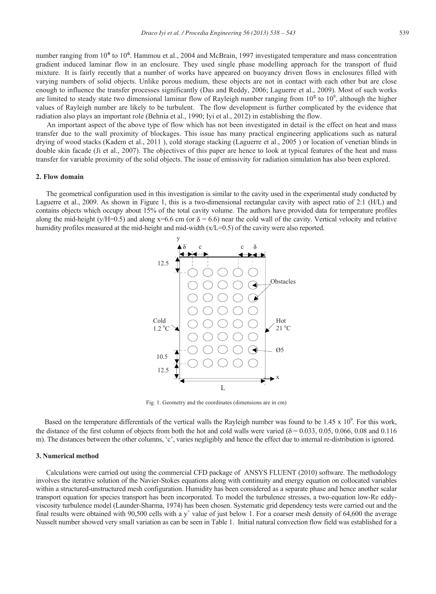number ranging from 10<sup>4</sup> to 10<sup>6</sup>. Hammou et al., 2004 and McBrain, 1997 investigated temperature and mass concentration gradient induced laminar flow in an enclosure. They used single phase modelling approach for the transport of fluid mixture. It is fairly recently that a number of works have appeared on buoyancy driven flows in enclosures filled with varying numbers of solid objects. Unlike porous medium, these objects are not in contact with each other but are close enough to influence the transfer processes significantly (Das and Reddy, 2006; Laguerre et al., 2009). Most of such works are limited to steady state two dimensional laminar flow of Rayleigh number ranging from  $10^5$  to  $10^9$ , although the higher values of Rayleigh number are likely to be turbulent. The flow development is further complicated by the evidence that radiation also plays an important role (Behnia et al., 1990; Iyi et al., 2012) in establishing the flow.

 An important aspect of the above type of flow which has not been investigated in detail is the effect on heat and mass transfer due to the wall proximity of blockages. This issue has many practical engineering applications such as natural drying of wood stacks (Kadem et al., 2011 ), cold storage stacking (Laguerre et al., 2005 ) or location of venetian blinds in double skin facade (Ji et al., 2007). The objectives of this paper are hence to look at typical features of the heat and mass transfer for variable proximity of the solid objects. The issue of emissivity for radiation simulation has also been explored.

#### **2. Flow domain**

 The geometrical configuration used in this investigation is similar to the cavity used in the experimental study conducted by Laguerre et al., 2009. As shown in Figure 1, this is a two-dimensional rectangular cavity with aspect ratio of 2:1 (H/L) and contains objects which occupy about 15% of the total cavity volume. The authors have provided data for temperature profiles along the mid-height (y/H=0.5) and along x=6.6 cm (or  $\delta$  = 6.6) near the cold wall of the cavity. Vertical velocity and relative humidity profiles measured at the mid-height and mid-width (x/L=0.5) of the cavity were also reported.



Fig. 1. Geometry and the coordinates (dimensions are in cm)

Based on the temperature differentials of the vertical walls the Rayleigh number was found to be  $1.45 \times 10^9$ . For this work, the distance of the first column of objects from both the hot and cold walls were varied ( $\delta$  = 0.033, 0.05, 0.066, 0.08 and 0.116 m). The distances between the other columns, 'c', varies negligibly and hence the effect due to internal re-distribution is ignored.

#### **3. Numerical method**

 Calculations were carried out using the commercial CFD package of ANSYS FLUENT (2010) software. The methodology involves the iterative solution of the Navier-Stokes equations along with continuity and energy equation on collocated variables within a structured-unstructured mesh configuration. Humidity has been considered as a separate phase and hence another scalar transport equation for species transport has been incorporated. To model the turbulence stresses, a two-equation low-Re eddyviscosity turbulence model (Launder-Sharma, 1974) has been chosen. Systematic grid dependency tests were carried out and the final results were obtained with 90,500 cells with a  $y^+$  value of just below 1. For a coarser mesh density of 64,600 the average Nusselt number showed very small variation as can be seen in Table 1. Initial natural convection flow field was established for a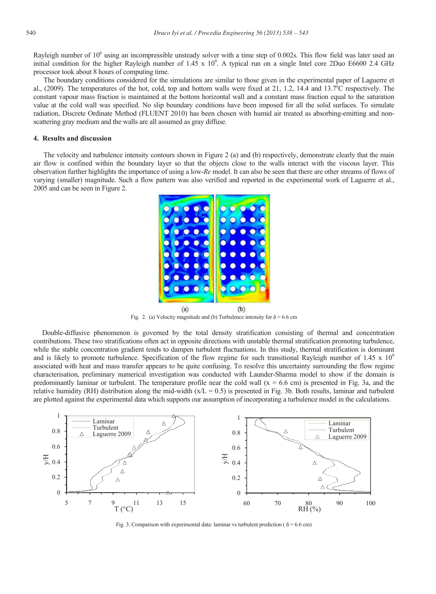Rayleigh number of 10<sup>6</sup> using an incompressible unsteady solver with a time step of 0.002s. This flow field was later used an initial condition for the higher Rayleigh number of  $1.45 \times 10^9$ . A typical run on a single Intel core 2Duo E6600 2.4 GHz processor took about 8 hours of computing time.

 The boundary conditions considered for the simulations are similar to those given in the experimental paper of Laguerre et al., (2009). The temperatures of the hot, cold, top and bottom walls were fixed at 21, 1.2, 14.4 and 13.7 $^{\circ}$ C respectively. The constant vapour mass fraction is maintained at the bottom horizontal wall and a constant mass fraction equal to the saturation value at the cold wall was specified. No slip boundary conditions have been imposed for all the solid surfaces. To simulate radiation, Discrete Ordinate Method (FLUENT 2010) has been chosen with humid air treated as absorbing-emitting and nonscattering gray medium and the walls are all assumed as gray diffuse.

#### **4. Results and discussion**

 The velocity and turbulence intensity contours shown in Figure 2 (a) and (b) respectively, demonstrate clearly that the main air flow is confined within the boundary layer so that the objects close to the walls interact with the viscous layer. This observation further highlights the importance of using a low-*Re* model. It can also be seen that there are other streams of flows of varying (smaller) magnitude. Such a flow pattern was also verified and reported in the experimental work of Laguerre et al., 2005 and can be seen in Figure 2.



Fig. 2. (a) Velocity magnitude and (b) Turbulence intensity for  $\delta = 6.6$  cm

Double-diffusive phenomenon is governed by the total density stratification consisting of thermal and concentration contributions. These two stratifications often act in opposite directions with unstable thermal stratification promoting turbulence, while the stable concentration gradient tends to dampen turbulent fluctuations. In this study, thermal stratification is dominant and is likely to promote turbulence. Specification of the flow regime for such transitional Rayleigh number of  $1.45 \times 10^9$ associated with heat and mass transfer appears to be quite confusing. To resolve this uncertainty surrounding the flow regime characterisation, preliminary numerical investigation was conducted with Launder-Sharma model to show if the domain is predominantly laminar or turbulent. The temperature profile near the cold wall  $(x = 6.6$  cm) is presented in Fig. 3a, and the relative humidity (RH) distribution along the mid-width  $(x/L = 0.5)$  is presented in Fig. 3b. Both results, laminar and turbulent are plotted against the experimental data which supports our assumption of incorporating a turbulence model in the calculations.



Fig. 3. Comparison with experimental data: laminar vs turbulent prediction ( $\delta$  = 6.6 cm)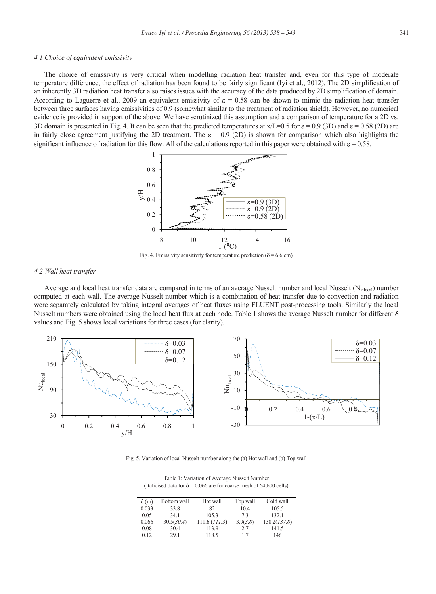#### *4.1 Choice of equivalent emissivity*

 The choice of emissivity is very critical when modelling radiation heat transfer and, even for this type of moderate temperature difference, the effect of radiation has been found to be fairly significant (Iyi et al., 2012). The 2D simplification of an inherently 3D radiation heat transfer also raises issues with the accuracy of the data produced by 2D simplification of domain. According to Laguerre et al., 2009 an equivalent emissivity of  $\varepsilon = 0.58$  can be shown to mimic the radiation heat transfer between three surfaces having emissivities of 0.9 (somewhat similar to the treatment of radiation shield). However, no numerical evidence is provided in support of the above. We have scrutinized this assumption and a comparison of temperature for a 2D vs. 3D domain is presented in Fig. 4. It can be seen that the predicted temperatures at  $x/L=0.5$  for  $\varepsilon = 0.9$  (3D) and  $\varepsilon = 0.58$  (2D) are in fairly close agreement justifying the 2D treatment. The  $\varepsilon = 0.9$  (2D) is shown for comparison which also highlights the significant influence of radiation for this flow. All of the calculations reported in this paper were obtained with  $\varepsilon = 0.58$ .



Fig. 4. Emissivity sensitivity for temperature prediction ( $\delta$  = 6.6 cm)

#### *4.2 Wall heat transfer*

Average and local heat transfer data are compared in terms of an average Nusselt number and local Nusselt ( $Nu<sub>local</sub>$ ) number computed at each wall. The average Nusselt number which is a combination of heat transfer due to convection and radiation were separately calculated by taking integral averages of heat fluxes using FLUENT post-processing tools. Similarly the local Nusselt numbers were obtained using the local heat flux at each node. Table 1 shows the average Nusselt number for different  $\delta$ values and Fig. 5 shows local variations for three cases (for clarity).



Fig. 5. Variation of local Nusselt number along the (a) Hot wall and (b) Top wall

| Table 1: Variation of Average Nusselt Number                               |
|----------------------------------------------------------------------------|
| (Italicised data for $\delta$ = 0.066 are for coarse mesh of 64,600 cells) |

| $\delta(m)$ | Bottom wall | Hot wall      | Top wall | Cold wall    |
|-------------|-------------|---------------|----------|--------------|
| 0.033       | 33.8        | 82            | 10.4     | 105.5        |
| 0.05        | 341         | 105.3         | 73       | 132.1        |
| 0.066       | 30.5(30.4)  | 111.6 (111.3) | 3.9(3.8) | 138.2(137.8) |
| 0.08        | 30.4        | 113.9         | 2.7      | 141.5        |
| 0.12        | 29.1        | 118.5         | 17       | 146          |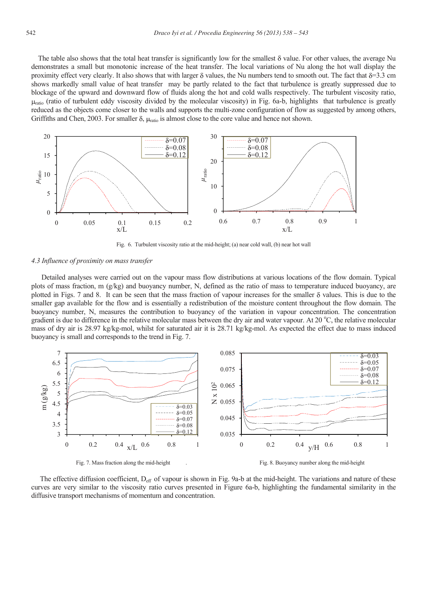The table also shows that the total heat transfer is significantly low for the smallest  $\delta$  value. For other values, the average Nu demonstrates a small but monotonic increase of the heat transfer. The local variations of Nu along the hot wall display the proximity effect very clearly. It also shows that with larger  $\delta$  values, the Nu numbers tend to smooth out. The fact that  $\delta=3.3$  cm shows markedly small value of heat transfer may be partly related to the fact that turbulence is greatly suppressed due to blockage of the upward and downward flow of fluids along the hot and cold walls respectively. The turbulent viscosity ratio,  $\mu_{\text{ratio}}$  (ratio of turbulent eddy viscosity divided by the molecular viscosity) in Fig. 6a-b, highlights that turbulence is greatly reduced as the objects come closer to the walls and supports the multi-zone configuration of flow as suggested by among others, Griffiths and Chen, 2003. For smaller  $\delta$ ,  $\mu_{\text{ratio}}$  is almost close to the core value and hence not shown.



Fig. 6. Turbulent viscosity ratio at the mid-height; (a) near cold wall, (b) near hot wall

#### *4.3 Influence of proximity on mass transfer*

 Detailed analyses were carried out on the vapour mass flow distributions at various locations of the flow domain. Typical plots of mass fraction, m (g/kg) and buoyancy number, N, defined as the ratio of mass to temperature induced buoyancy, are plotted in Figs. 7 and 8. It can be seen that the mass fraction of vapour increases for the smaller  $\delta$  values. This is due to the smaller gap available for the flow and is essentially a redistribution of the moisture content throughout the flow domain. The buoyancy number, N, measures the contribution to buoyancy of the variation in vapour concentration. The concentration gradient is due to difference in the relative molecular mass between the dry air and water vapour. At 20 °C, the relative molecular mass of dry air is 28.97 kg/kg-mol, whilst for saturated air it is 28.71 kg/kg-mol. As expected the effect due to mass induced buoyancy is small and corresponds to the trend in Fig. 7.



The effective diffusion coefficient,  $D_{\text{eff}}$  of vapour is shown in Fig. 9a-b at the mid-height. The variations and nature of these curves are very similar to the viscosity ratio curves presented in Figure 6a-b, highlighting the fundamental similarity in the diffusive transport mechanisms of momentum and concentration.